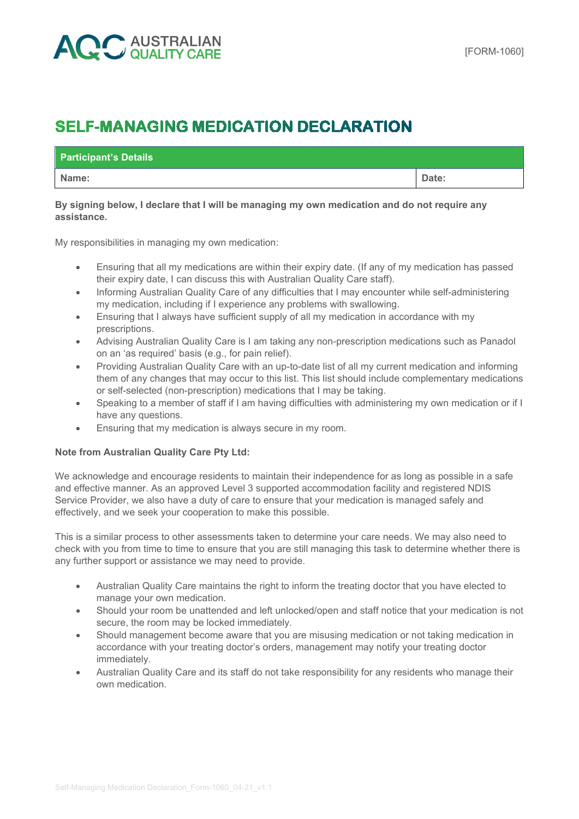# **AUSTRALIAN**<br>JOUALITY CARE

## **SELF-MANAGING MEDICATION DECLARATION**

| <b>Participant's Details</b> |       |
|------------------------------|-------|
| Name:                        | Date: |

#### **By signing below, I declare that I will be managing my own medication and do not require any assistance.**

My responsibilities in managing my own medication:

- Ensuring that all my medications are within their expiry date. (If any of my medication has passed their expiry date, I can discuss this with Australian Quality Care staff).
- Informing Australian Quality Care of any difficulties that I may encounter while self-administering my medication, including if I experience any problems with swallowing.
- Ensuring that I always have sufficient supply of all my medication in accordance with my prescriptions.
- Advising Australian Quality Care is I am taking any non-prescription medications such as Panadol on an 'as required' basis (e.g., for pain relief).
- Providing Australian Quality Care with an up-to-date list of all my current medication and informing them of any changes that may occur to this list. This list should include complementary medications or self-selected (non-prescription) medications that I may be taking.
- Speaking to a member of staff if I am having difficulties with administering my own medication or if I have any questions.
- Ensuring that my medication is always secure in my room.

### **Note from Australian Quality Care Pty Ltd:**

We acknowledge and encourage residents to maintain their independence for as long as possible in a safe and effective manner. As an approved Level 3 supported accommodation facility and registered NDIS Service Provider, we also have a duty of care to ensure that your medication is managed safely and effectively, and we seek your cooperation to make this possible.

This is a similar process to other assessments taken to determine your care needs. We may also need to check with you from time to time to ensure that you are still managing this task to determine whether there is any further support or assistance we may need to provide.

- Australian Quality Care maintains the right to inform the treating doctor that you have elected to manage your own medication.
- Should your room be unattended and left unlocked/open and staff notice that your medication is not secure, the room may be locked immediately.
- Should management become aware that you are misusing medication or not taking medication in accordance with your treating doctor's orders, management may notify your treating doctor immediately.
- Australian Quality Care and its staff do not take responsibility for any residents who manage their own medication.